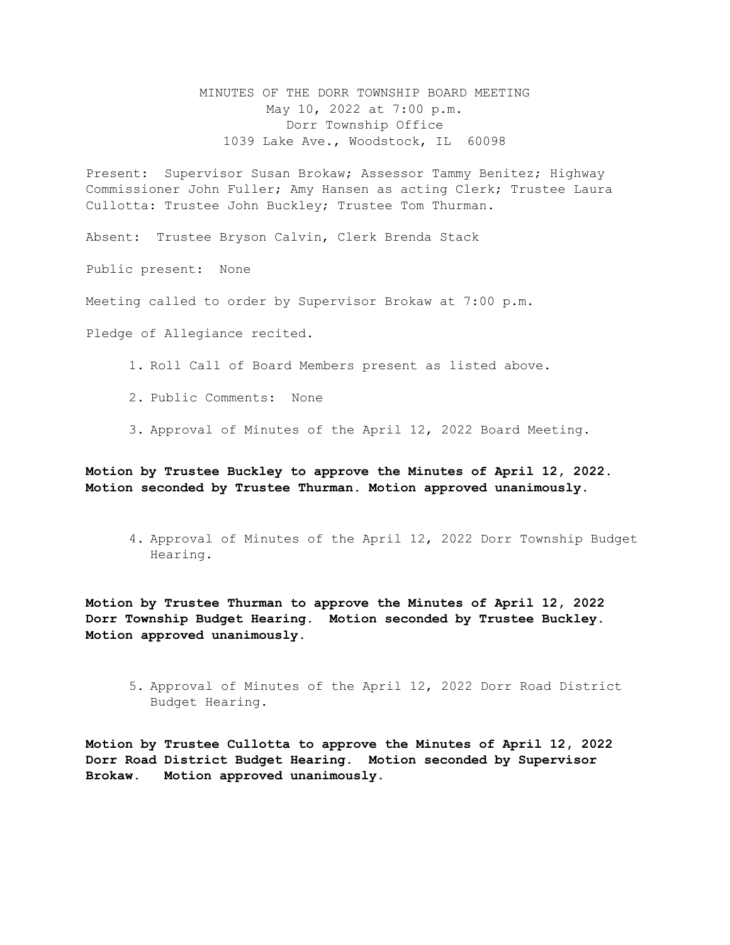MINUTES OF THE DORR TOWNSHIP BOARD MEETING May 10, 2022 at 7:00 p.m. Dorr Township Office 1039 Lake Ave., Woodstock, IL 60098

Present: Supervisor Susan Brokaw; Assessor Tammy Benitez; Highway Commissioner John Fuller; Amy Hansen as acting Clerk; Trustee Laura Cullotta: Trustee John Buckley; Trustee Tom Thurman.

Absent: Trustee Bryson Calvin, Clerk Brenda Stack

Public present: None

Meeting called to order by Supervisor Brokaw at 7:00 p.m.

Pledge of Allegiance recited.

1. Roll Call of Board Members present as listed above.

2. Public Comments: None

3. Approval of Minutes of the April 12, 2022 Board Meeting.

**Motion by Trustee Buckley to approve the Minutes of April 12, 2022. Motion seconded by Trustee Thurman. Motion approved unanimously.** 

4. Approval of Minutes of the April 12, 2022 Dorr Township Budget Hearing.

**Motion by Trustee Thurman to approve the Minutes of April 12, 2022 Dorr Township Budget Hearing. Motion seconded by Trustee Buckley. Motion approved unanimously.**

5. Approval of Minutes of the April 12, 2022 Dorr Road District Budget Hearing.

**Motion by Trustee Cullotta to approve the Minutes of April 12, 2022 Dorr Road District Budget Hearing. Motion seconded by Supervisor Brokaw. Motion approved unanimously.**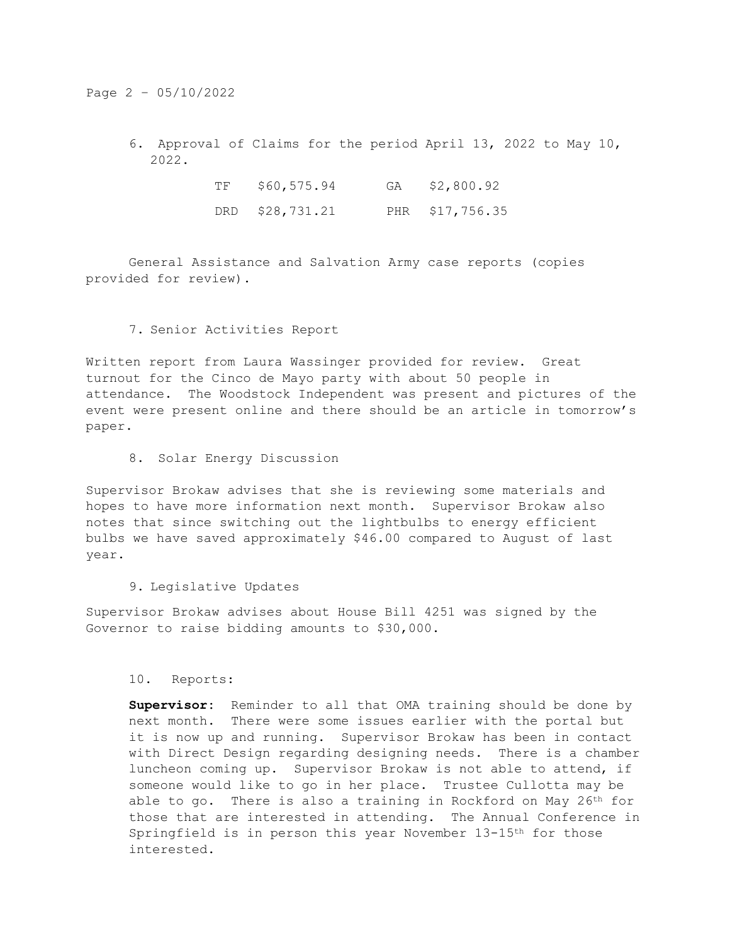# Page 2 – 05/10/2022

6. Approval of Claims for the period April 13, 2022 to May 10, 2022.

| TF | \$60,575.94     | GA \$2,800.92   |
|----|-----------------|-----------------|
|    | DRD \$28,731.21 | PHR \$17,756.35 |

General Assistance and Salvation Army case reports (copies provided for review).

# 7. Senior Activities Report

Written report from Laura Wassinger provided for review. Great turnout for the Cinco de Mayo party with about 50 people in attendance. The Woodstock Independent was present and pictures of the event were present online and there should be an article in tomorrow's paper.

8. Solar Energy Discussion

Supervisor Brokaw advises that she is reviewing some materials and hopes to have more information next month. Supervisor Brokaw also notes that since switching out the lightbulbs to energy efficient bulbs we have saved approximately \$46.00 compared to August of last year.

### 9. Legislative Updates

Supervisor Brokaw advises about House Bill 4251 was signed by the Governor to raise bidding amounts to \$30,000.

10. Reports:

**Supervisor:** Reminder to all that OMA training should be done by next month. There were some issues earlier with the portal but it is now up and running. Supervisor Brokaw has been in contact with Direct Design regarding designing needs. There is a chamber luncheon coming up. Supervisor Brokaw is not able to attend, if someone would like to go in her place. Trustee Cullotta may be able to go. There is also a training in Rockford on May 26<sup>th</sup> for those that are interested in attending. The Annual Conference in Springfield is in person this year November 13-15th for those interested.